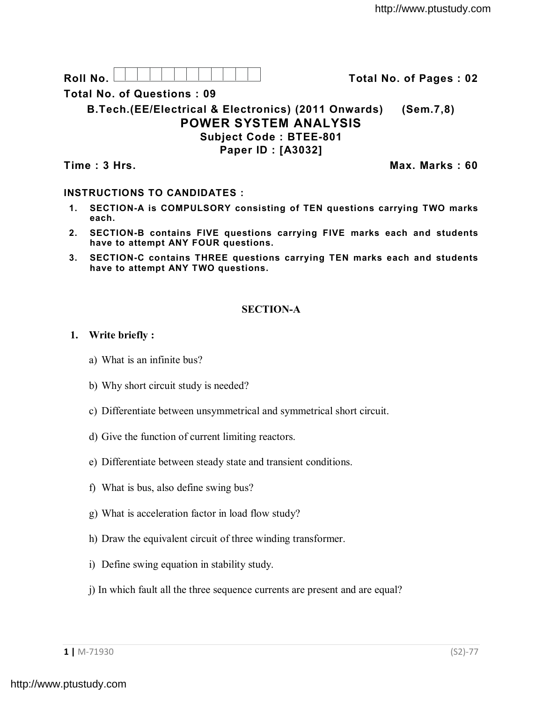Roll No. <u>And I And I Alexander Hermitide Colle</u> Correction Total No. of Pages : 02

**Total No. of Questions : 09**

**B.Tech.(EE/Electrical & Electronics) (2011 Onwards) (Sem.7,8) POWER SYSTEM ANALYSIS Subject Code : BTEE-801 Paper ID : [A3032]**

**Time : 3 Hrs. Max. Marks : 60**

# **INSTRUCTIONS TO CANDIDATES :**

- **1. SECTION-A is COMPULSORY consisting of TEN questions carrying TWO marks each.**
- **2. SECTION-B contains FIVE questions carrying FIVE marks each and students have to attempt ANY FOUR questions.**
- **3. SECTION-C contains THREE questions carrying TEN marks each and students have to attempt ANY TWO questions.**

# **SECTION-A**

## **1. Write briefly :**

- a) What is an infinite bus?
- b) Why short circuit study is needed?
- c) Differentiate between unsymmetrical and symmetrical short circuit.
- d) Give the function of current limiting reactors.
- e) Differentiate between steady state and transient conditions.
- f) What is bus, also define swing bus?
- g) What is acceleration factor in load flow study?
- h) Draw the equivalent circuit of three winding transformer.
- i) Define swing equation in stability study.
- j) In which fault all the three sequence currents are present and are equal?